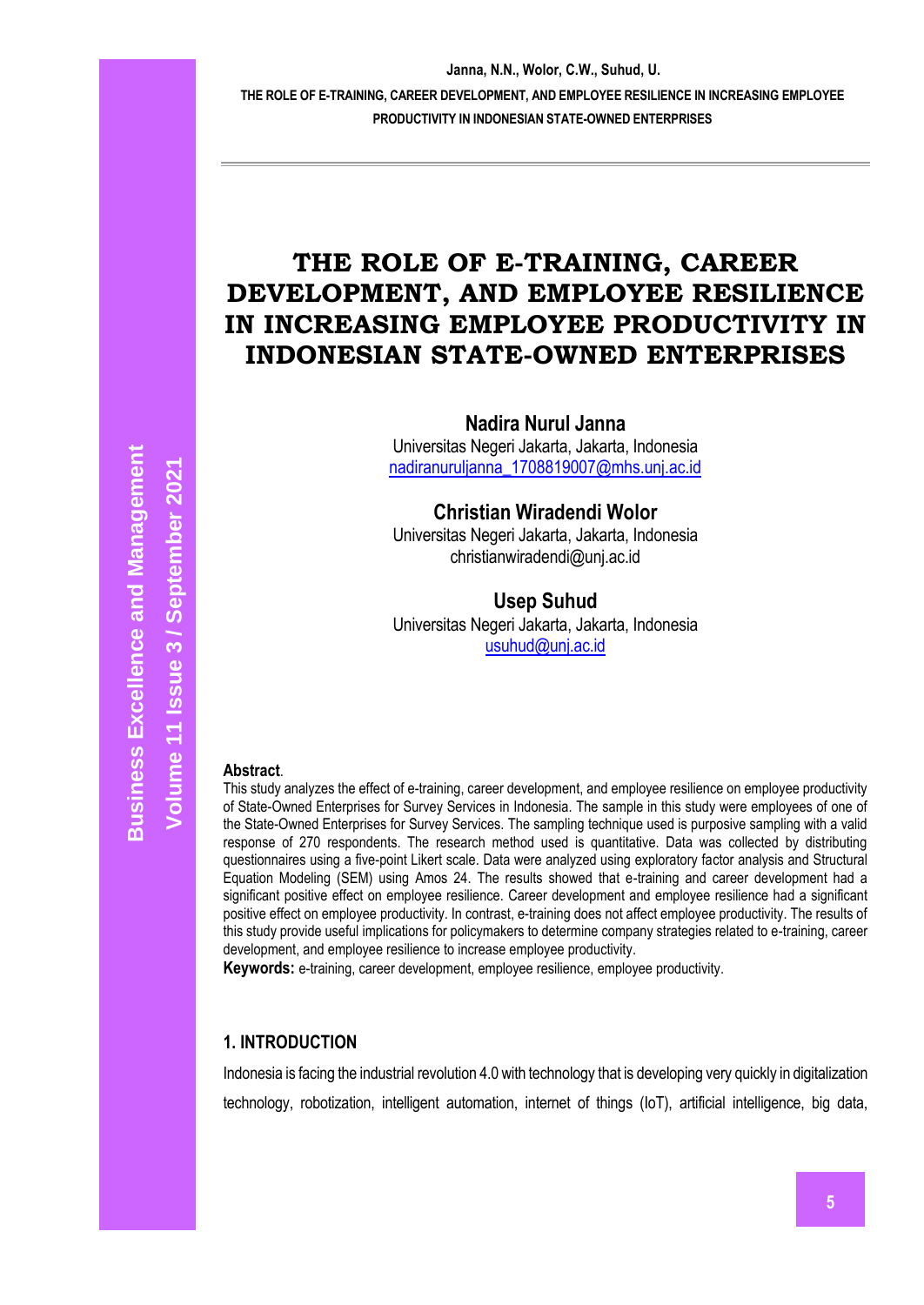# **THE ROLE OF E-TRAINING, CAREER DEVELOPMENT, AND EMPLOYEE RESILIENCE IN INCREASING EMPLOYEE PRODUCTIVITY IN INDONESIAN STATE-OWNED ENTERPRISES**

**Nadira Nurul Janna** Universitas Negeri Jakarta, Jakarta, Indonesia [nadiranuruljanna\\_1708819007@mhs.unj.ac.id](mailto:nadiranuruljanna_1708819007@mhs.unj.ac.id)

**Christian Wiradendi Wolor** Universitas Negeri Jakarta, Jakarta, Indonesia [christianwiradendi@unj.ac.id](mailto:Christianwiradendi@unj.ac.id)

### **Usep Suhud**

Universitas Negeri Jakarta, Jakarta, Indonesia [usuhud@unj.ac.id](mailto:usuhud@unj.ac.id)

#### **Abstract**.

This study analyzes the effect of e-training, career development, and employee resilience on employee productivity of State-Owned Enterprises for Survey Services in Indonesia. The sample in this study were employees of one of the State-Owned Enterprises for Survey Services. The sampling technique used is purposive sampling with a valid response of 270 respondents. The research method used is quantitative. Data was collected by distributing questionnaires using a five-point Likert scale. Data were analyzed using exploratory factor analysis and Structural Equation Modeling (SEM) using Amos 24. The results showed that e-training and career development had a significant positive effect on employee resilience. Career development and employee resilience had a significant positive effect on employee productivity. In contrast, e-training does not affect employee productivity. The results of this study provide useful implications for policymakers to determine company strategies related to e-training, career development, and employee resilience to increase employee productivity.

**Keywords:** e-training, career development, employee resilience, employee productivity.

### **1. INTRODUCTION**

Indonesia is facing the industrial revolution 4.0 with technology that is developing very quickly in digitalization technology, robotization, intelligent automation, internet of things (IoT), artificial intelligence, big data,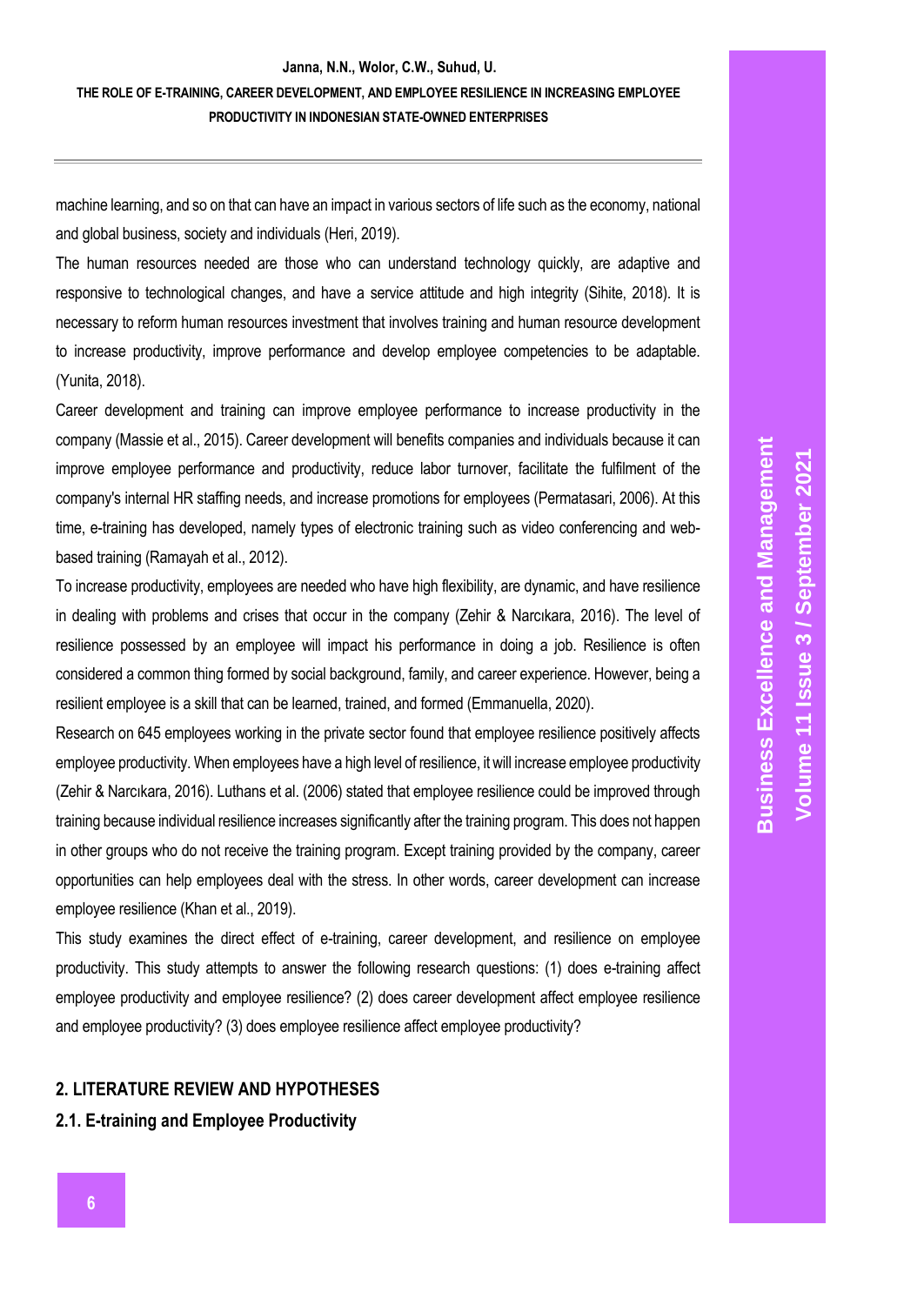### **THE ROLE OF E-TRAINING, CAREER DEVELOPMENT, AND EMPLOYEE RESILIENCE IN INCREASING EMPLOYEE PRODUCTIVITY IN INDONESIAN STATE-OWNED ENTERPRISES**

machine learning, and so on that can have an impact in various sectors of life such as the economy, national and global business, society and individuals (Heri, 2019).

The human resources needed are those who can understand technology quickly, are adaptive and responsive to technological changes, and have a service attitude and high integrity (Sihite, 2018). It is necessary to reform human resources investment that involves training and human resource development to increase productivity, improve performance and develop employee competencies to be adaptable. (Yunita, 2018).

Career development and training can improve employee performance to increase productivity in the company (Massie et al., 2015). Career development will benefits companies and individuals because it can improve employee performance and productivity, reduce labor turnover, facilitate the fulfilment of the company's internal HR staffing needs, and increase promotions for employees (Permatasari, 2006). At this time, e-training has developed, namely types of electronic training such as video conferencing and webbased training (Ramayah et al., 2012).

To increase productivity, employees are needed who have high flexibility, are dynamic, and have resilience in dealing with problems and crises that occur in the company (Zehir & Narcıkara, 2016). The level of resilience possessed by an employee will impact his performance in doing a job. Resilience is often considered a common thing formed by social background, family, and career experience. However, being a resilient employee is a skill that can be learned, trained, and formed (Emmanuella, 2020).

Research on 645 employees working in the private sector found that employee resilience positively affects employee productivity. When employees have a high level of resilience, it will increase employee productivity (Zehir & Narcıkara, 2016). Luthans et al. (2006) stated that employee resilience could be improved through training because individual resilience increases significantly after the training program. This does not happen in other groups who do not receive the training program. Except training provided by the company, career opportunities can help employees deal with the stress. In other words, career development can increase employee resilience (Khan et al., 2019).

This study examines the direct effect of e-training, career development, and resilience on employee productivity. This study attempts to answer the following research questions: (1) does e-training affect employee productivity and employee resilience? (2) does career development affect employee resilience and employee productivity? (3) does employee resilience affect employee productivity?

### **2. LITERATURE REVIEW AND HYPOTHESES**

#### **2.1. E-training and Employee Productivity**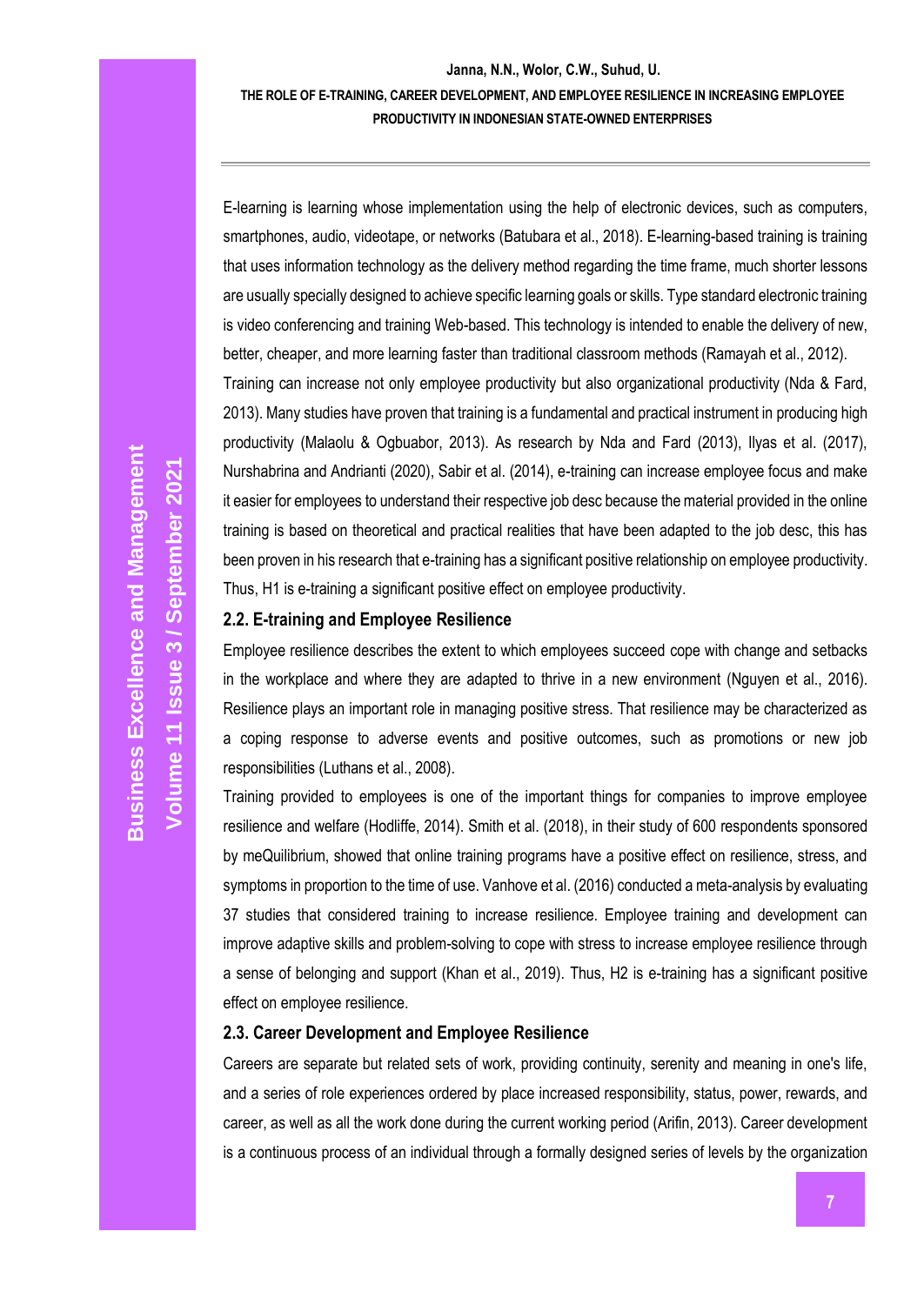### **Janna, N.N., Wolor, C.W., Suhud, U. THE ROLE OF E-TRAINING, CAREER DEVELOPMENT, AND EMPLOYEE RESILIENCE IN INCREASING EMPLOYEE PRODUCTIVITY IN INDONESIAN STATE-OWNED ENTERPRISES**

E-learning is learning whose implementation using the help of electronic devices, such as computers, smartphones, audio, videotape, or networks (Batubara et al., 2018). E-learning-based training is training that uses information technology as the delivery method regarding the time frame, much shorter lessons are usually specially designed to achieve specific learning goals or skills. Type standard electronic training is video conferencing and training Web-based. This technology is intended to enable the delivery of new, better, cheaper, and more learning faster than traditional classroom methods (Ramayah et al., 2012). Training can increase not only employee productivity but also organizational productivity (Nda & Fard, 2013). Many studies have proven that training is a fundamental and practical instrument in producing high productivity (Malaolu & Ogbuabor, 2013). As research by Nda and Fard (2013), Ilyas et al. (2017), Nurshabrina and Andrianti (2020), Sabir et al. (2014), e-training can increase employee focus and make it easier for employees to understand their respective job desc because the material provided in the online training is based on theoretical and practical realities that have been adapted to the job desc, this has been proven in his research that e-training has a significant positive relationship on employee productivity. Thus, H1 is e-training a significant positive effect on employee productivity.

#### **2.2. E-training and Employee Resilience**

Employee resilience describes the extent to which employees succeed cope with change and setbacks in the workplace and where they are adapted to thrive in a new environment (Nguyen et al., 2016). Resilience plays an important role in managing positive stress. That resilience may be characterized as a coping response to adverse events and positive outcomes, such as promotions or new job responsibilities (Luthans et al., 2008).

Training provided to employees is one of the important things for companies to improve employee resilience and welfare (Hodliffe, 2014). Smith et al. (2018), in their study of 600 respondents sponsored by meQuilibrium, showed that online training programs have a positive effect on resilience, stress, and symptoms in proportion to the time of use. Vanhove et al. (2016) conducted a meta-analysis by evaluating 37 studies that considered training to increase resilience. Employee training and development can improve adaptive skills and problem-solving to cope with stress to increase employee resilience through a sense of belonging and support (Khan et al., 2019). Thus, H2 is e-training has a significant positive effect on employee resilience.

#### **2.3. Career Development and Employee Resilience**

Careers are separate but related sets of work, providing continuity, serenity and meaning in one's life, and a series of role experiences ordered by place increased responsibility, status, power, rewards, and career, as well as all the work done during the current working period (Arifin, 2013). Career development is a continuous process of an individual through a formally designed series of levels by the organization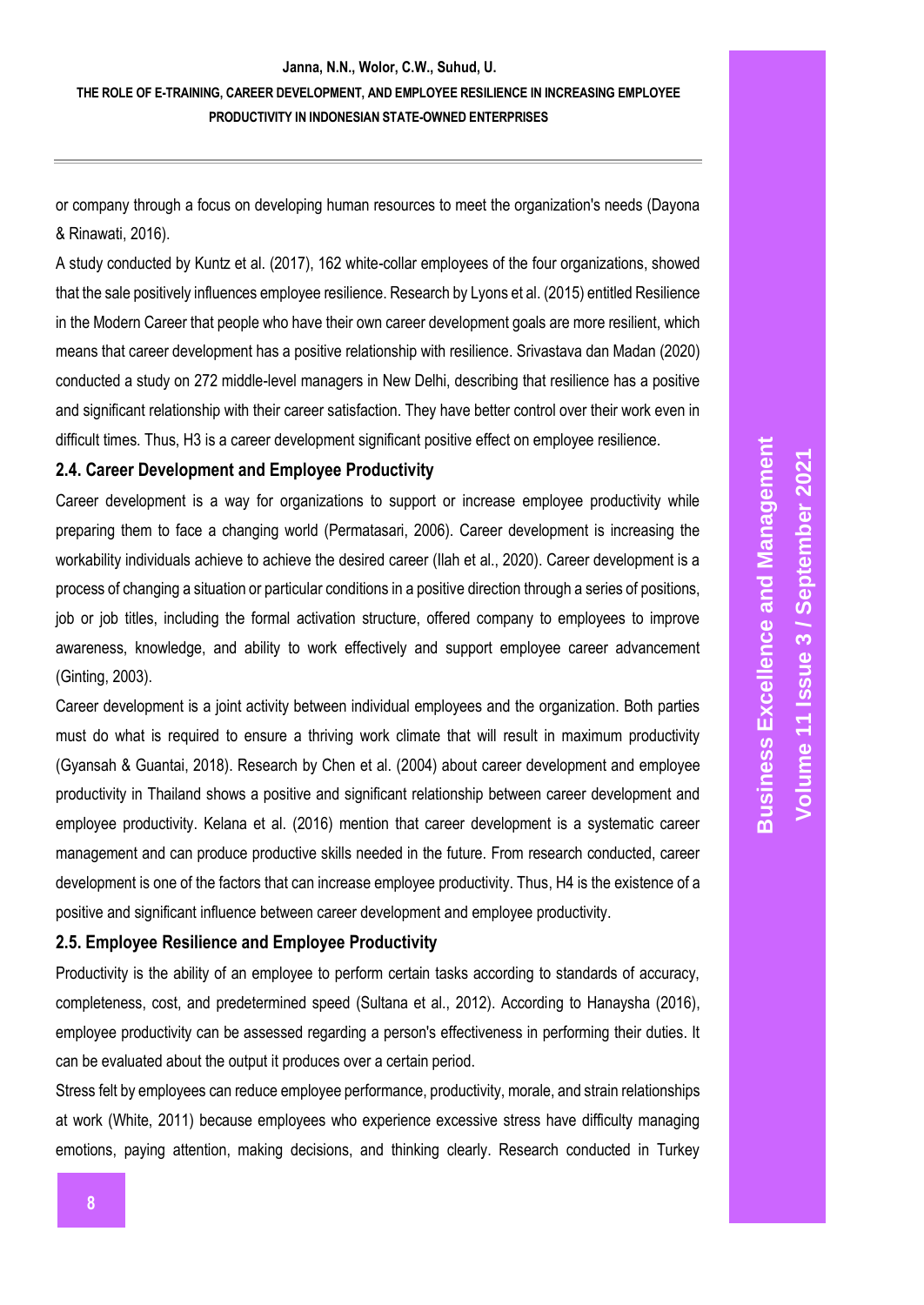**THE ROLE OF E-TRAINING, CAREER DEVELOPMENT, AND EMPLOYEE RESILIENCE IN INCREASING EMPLOYEE PRODUCTIVITY IN INDONESIAN STATE-OWNED ENTERPRISES**

or company through a focus on developing human resources to meet the organization's needs (Dayona & Rinawati, 2016).

A study conducted by Kuntz et al. (2017), 162 white-collar employees of the four organizations, showed that the sale positively influences employee resilience. Research by Lyons et al. (2015) entitled Resilience in the Modern Career that people who have their own career development goals are more resilient, which means that career development has a positive relationship with resilience. Srivastava dan Madan (2020) conducted a study on 272 middle-level managers in New Delhi, describing that resilience has a positive and significant relationship with their career satisfaction. They have better control over their work even in difficult times. Thus, H3 is a career development significant positive effect on employee resilience.

#### **2.4. Career Development and Employee Productivity**

Career development is a way for organizations to support or increase employee productivity while preparing them to face a changing world (Permatasari, 2006). Career development is increasing the workability individuals achieve to achieve the desired career (Ilah et al., 2020). Career development is a process of changing a situation or particular conditions in a positive direction through a series of positions, job or job titles, including the formal activation structure, offered company to employees to improve awareness, knowledge, and ability to work effectively and support employee career advancement (Ginting, 2003).

Career development is a joint activity between individual employees and the organization. Both parties must do what is required to ensure a thriving work climate that will result in maximum productivity (Gyansah & Guantai, 2018). Research by Chen et al. (2004) about career development and employee productivity in Thailand shows a positive and significant relationship between career development and employee productivity. Kelana et al. (2016) mention that career development is a systematic career management and can produce productive skills needed in the future. From research conducted, career development is one of the factors that can increase employee productivity. Thus, H4 is the existence of a positive and significant influence between career development and employee productivity.

#### **2.5. Employee Resilience and Employee Productivity**

Productivity is the ability of an employee to perform certain tasks according to standards of accuracy, completeness, cost, and predetermined speed (Sultana et al., 2012). According to Hanaysha (2016), employee productivity can be assessed regarding a person's effectiveness in performing their duties. It can be evaluated about the output it produces over a certain period.

Stress felt by employees can reduce employee performance, productivity, morale, and strain relationships at work (White, 2011) because employees who experience excessive stress have difficulty managing emotions, paying attention, making decisions, and thinking clearly. Research conducted in Turkey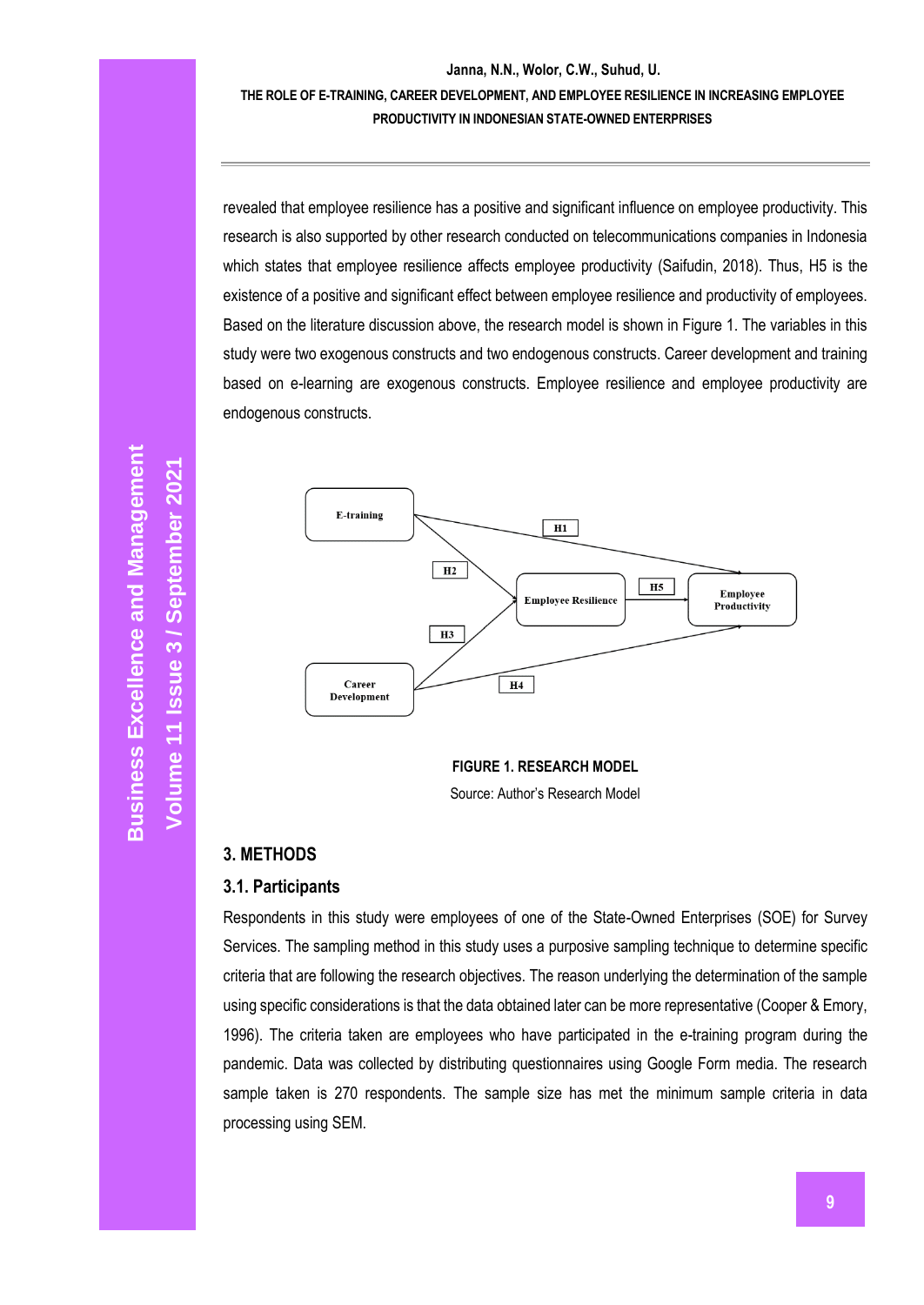### **Janna, N.N., Wolor, C.W., Suhud, U. THE ROLE OF E-TRAINING, CAREER DEVELOPMENT, AND EMPLOYEE RESILIENCE IN INCREASING EMPLOYEE PRODUCTIVITY IN INDONESIAN STATE-OWNED ENTERPRISES**

revealed that employee resilience has a positive and significant influence on employee productivity. This research is also supported by other research conducted on telecommunications companies in Indonesia which states that employee resilience affects employee productivity (Saifudin, 2018). Thus, H5 is the existence of a positive and significant effect between employee resilience and productivity of employees. Based on the literature discussion above, the research model is shown in Figure 1. The variables in this study were two exogenous constructs and two endogenous constructs. Career development and training based on e-learning are exogenous constructs. Employee resilience and employee productivity are endogenous constructs.



**FIGURE 1. RESEARCH MODEL** Source: Author's Research Model

### **3. METHODS**

#### **3.1. Participants**

Respondents in this study were employees of one of the State-Owned Enterprises (SOE) for Survey Services. The sampling method in this study uses a purposive sampling technique to determine specific criteria that are following the research objectives. The reason underlying the determination of the sample using specific considerations is that the data obtained later can be more representative (Cooper & Emory, 1996). The criteria taken are employees who have participated in the e-training program during the pandemic. Data was collected by distributing questionnaires using Google Form media. The research sample taken is 270 respondents. The sample size has met the minimum sample criteria in data processing using SEM.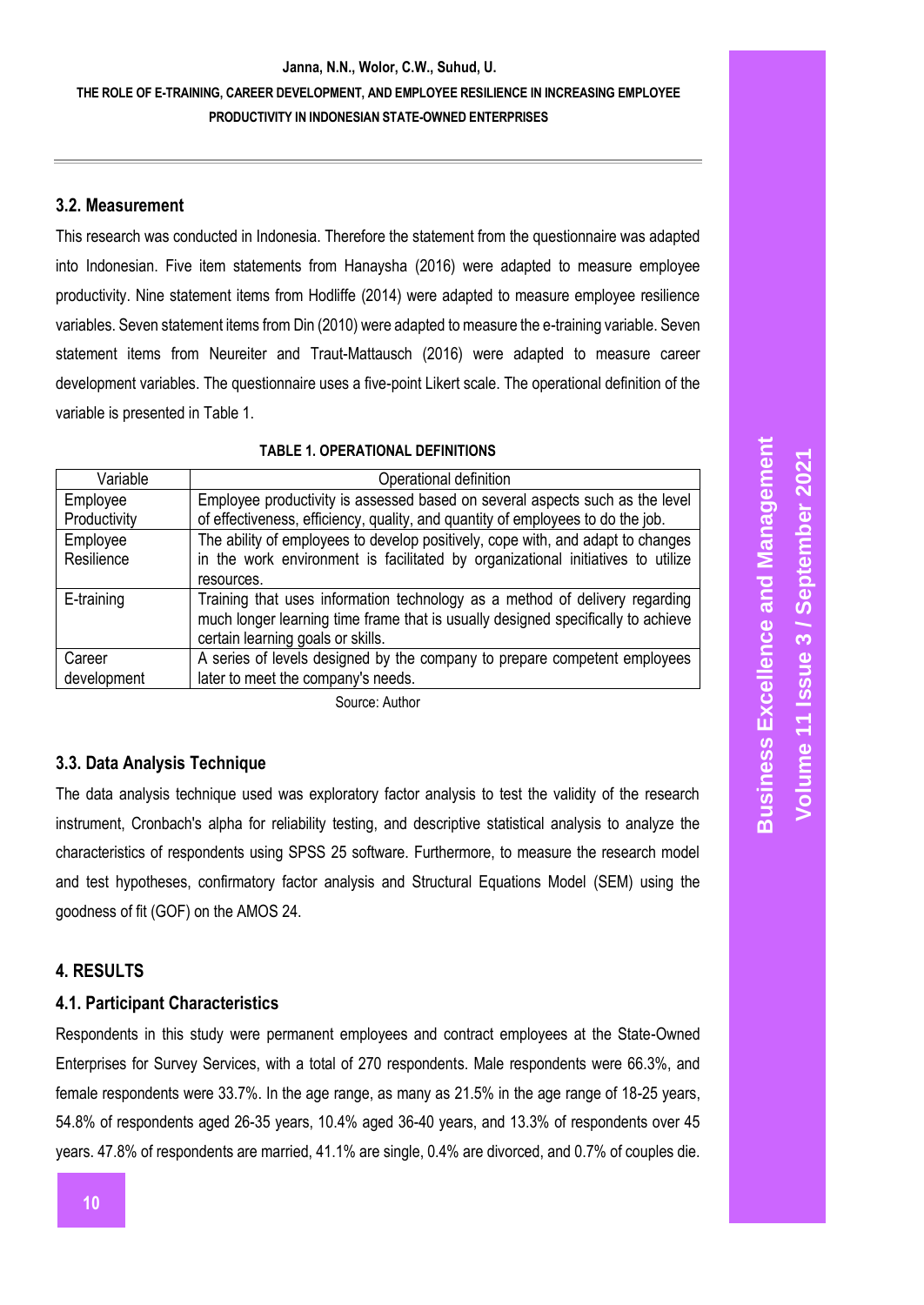### **THE ROLE OF E-TRAINING, CAREER DEVELOPMENT, AND EMPLOYEE RESILIENCE IN INCREASING EMPLOYEE PRODUCTIVITY IN INDONESIAN STATE-OWNED ENTERPRISES**

#### **3.2. Measurement**

This research was conducted in Indonesia. Therefore the statement from the questionnaire was adapted into Indonesian. Five item statements from Hanaysha (2016) were adapted to measure employee productivity. Nine statement items from Hodliffe (2014) were adapted to measure employee resilience variables. Seven statement items from Din (2010) were adapted to measure the e-training variable. Seven statement items from Neureiter and Traut-Mattausch (2016) were adapted to measure career development variables. The questionnaire uses a five-point Likert scale. The operational definition of the variable is presented in Table 1.

|  | <b>TABLE 1. OPERATIONAL DEFINITIONS</b> |  |
|--|-----------------------------------------|--|
|--|-----------------------------------------|--|

| Variable     | Operational definition                                                           |
|--------------|----------------------------------------------------------------------------------|
| Employee     | Employee productivity is assessed based on several aspects such as the level     |
| Productivity | of effectiveness, efficiency, quality, and quantity of employees to do the job.  |
| Employee     | The ability of employees to develop positively, cope with, and adapt to changes  |
| Resilience   | in the work environment is facilitated by organizational initiatives to utilize  |
|              | resources.                                                                       |
| E-training   | Training that uses information technology as a method of delivery regarding      |
|              | much longer learning time frame that is usually designed specifically to achieve |
|              | certain learning goals or skills.                                                |
| Career       | A series of levels designed by the company to prepare competent employees        |
| development  | later to meet the company's needs.                                               |

Source: Author

### **3.3. Data Analysis Technique**

The data analysis technique used was exploratory factor analysis to test the validity of the research instrument, Cronbach's alpha for reliability testing, and descriptive statistical analysis to analyze the characteristics of respondents using SPSS 25 software. Furthermore, to measure the research model and test hypotheses, confirmatory factor analysis and Structural Equations Model (SEM) using the goodness of fit (GOF) on the AMOS 24.

#### **4. RESULTS**

#### **4.1. Participant Characteristics**

Respondents in this study were permanent employees and contract employees at the State-Owned Enterprises for Survey Services, with a total of 270 respondents. Male respondents were 66.3%, and female respondents were 33.7%. In the age range, as many as 21.5% in the age range of 18-25 years, 54.8% of respondents aged 26-35 years, 10.4% aged 36-40 years, and 13.3% of respondents over 45 years. 47.8% of respondents are married, 41.1% are single, 0.4% are divorced, and 0.7% of couples die.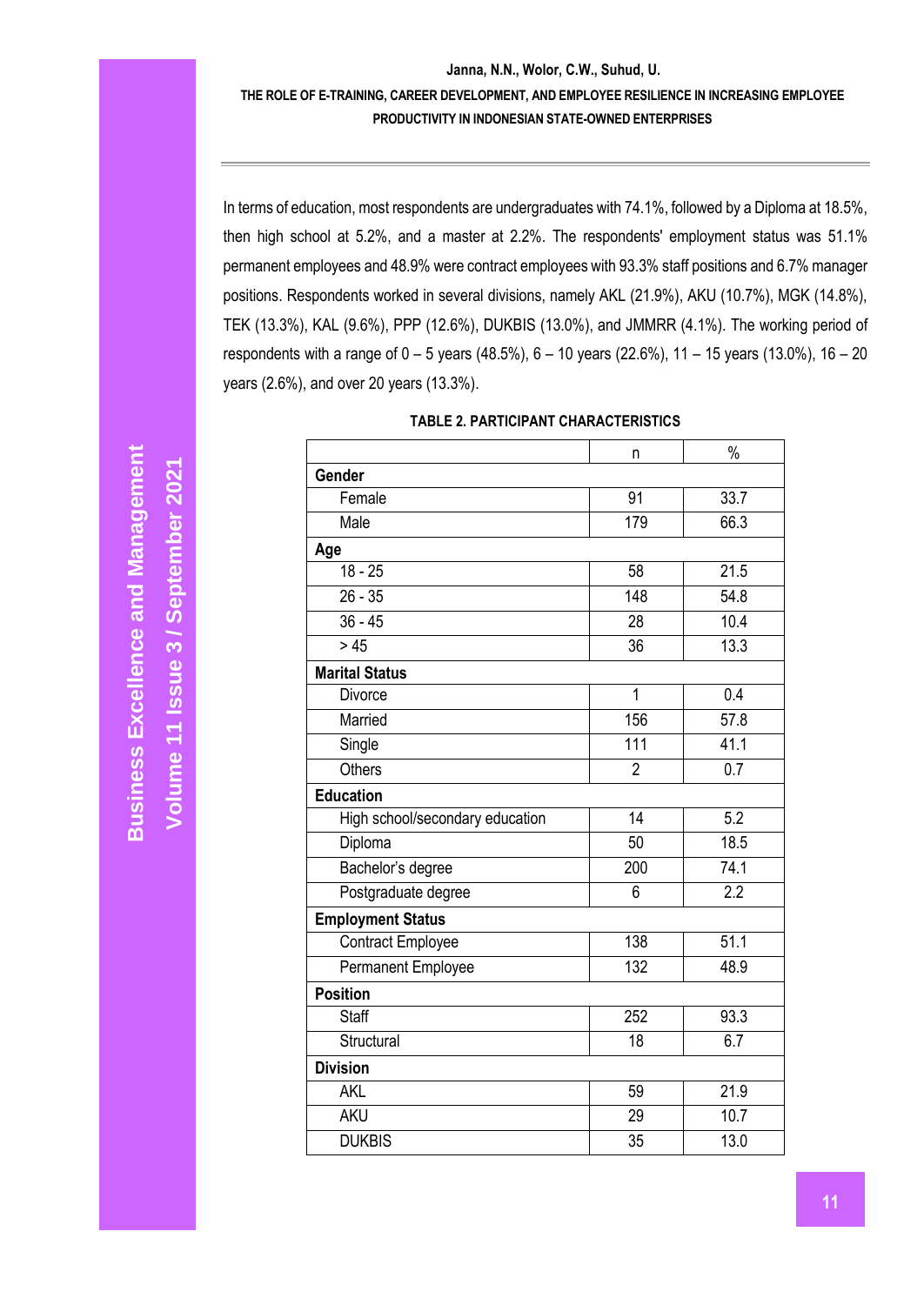### **THE ROLE OF E-TRAINING, CAREER DEVELOPMENT, AND EMPLOYEE RESILIENCE IN INCREASING EMPLOYEE PRODUCTIVITY IN INDONESIAN STATE-OWNED ENTERPRISES**

In terms of education, most respondents are undergraduates with 74.1%, followed by a Diploma at 18.5%, then high school at 5.2%, and a master at 2.2%. The respondents' employment status was 51.1% permanent employees and 48.9% were contract employees with 93.3% staff positions and 6.7% manager positions. Respondents worked in several divisions, namely AKL (21.9%), AKU (10.7%), MGK (14.8%), TEK (13.3%), KAL (9.6%), PPP (12.6%), DUKBIS (13.0%), and JMMRR (4.1%). The working period of respondents with a range of 0 – 5 years (48.5%), 6 – 10 years (22.6%), 11 – 15 years (13.0%), 16 – 20 years (2.6%), and over 20 years (13.3%).

|                                 | n               | $\frac{0}{0}$    |
|---------------------------------|-----------------|------------------|
| Gender                          |                 |                  |
| Female                          | 91              | 33.7             |
| Male                            | 179             | 66.3             |
| Age                             |                 |                  |
| $\overline{18} - 25$            | 58              | 21.5             |
| $26 - 35$                       | 148             | 54.8             |
| $36 - 45$                       | 28              | 10.4             |
| > 45                            | 36              | 13.3             |
| <b>Marital Status</b>           |                 |                  |
| <b>Divorce</b>                  | $\overline{1}$  | 0.4              |
| Married                         | 156             | 57.8             |
| Single                          | 111             | 41.1             |
| <b>Others</b>                   | $\overline{2}$  | 0.7              |
| <b>Education</b>                |                 |                  |
| High school/secondary education | $\overline{14}$ | $\overline{5.2}$ |
| Diploma                         | 50              | 18.5             |
| Bachelor's degree               | 200             | 74.1             |
| Postgraduate degree             | 6               | $\overline{2.2}$ |
| <b>Employment Status</b>        |                 |                  |
| <b>Contract Employee</b>        | 138             | 51.1             |
| Permanent Employee              | 132             | 48.9             |
| <b>Position</b>                 |                 |                  |
| <b>Staff</b>                    | 252             | 93.3             |
| Structural                      | 18              | 6.7              |
| <b>Division</b>                 |                 |                  |
| <b>AKL</b>                      | 59              | 21.9             |
| <b>AKU</b>                      | 29              | 10.7             |
| <b>DUKBIS</b>                   | 35              | 13.0             |
|                                 |                 |                  |

### **TABLE 2. PARTICIPANT CHARACTERISTICS**

**Volume 11 Issue** 

**/ September 2021**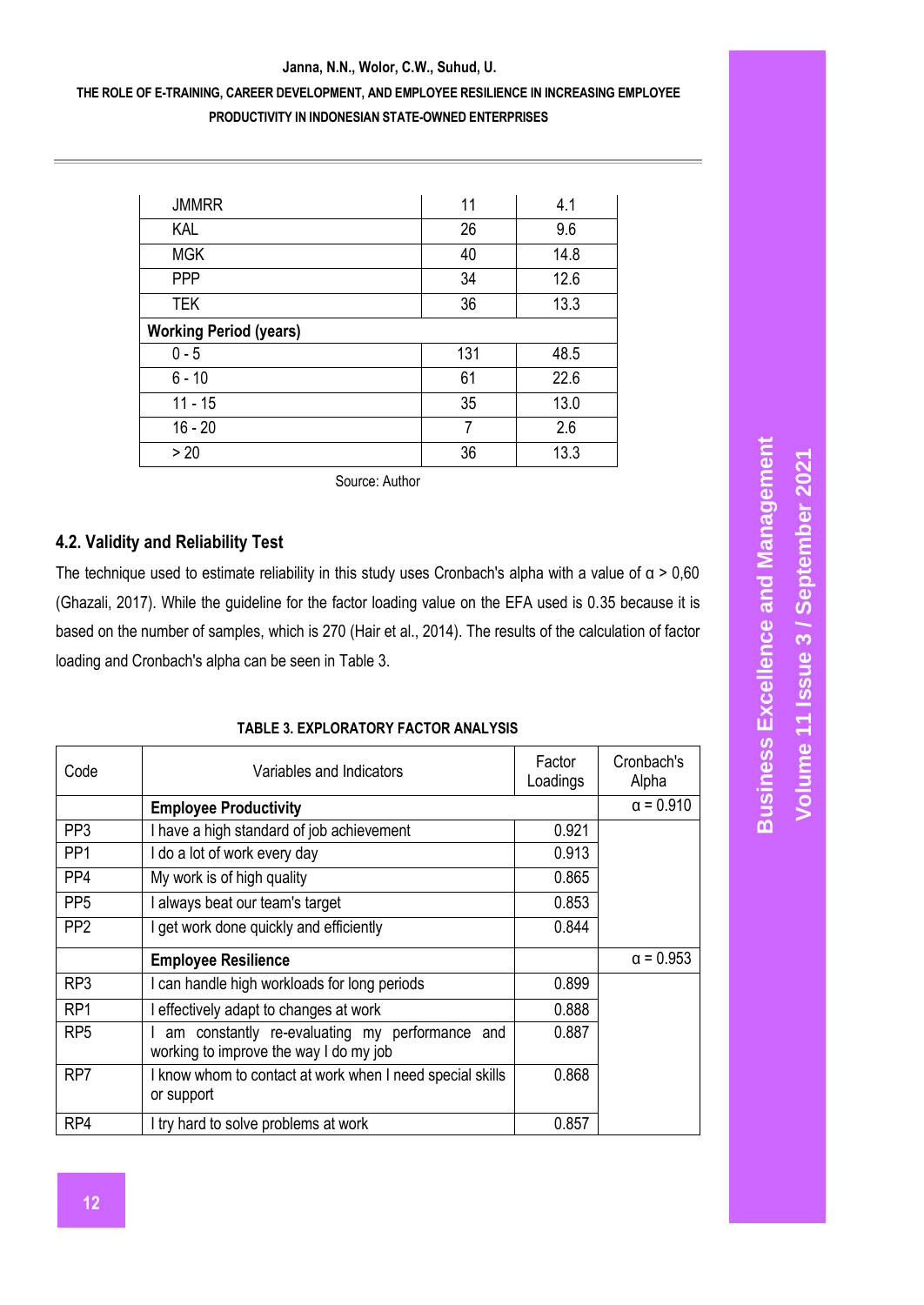### **THE ROLE OF E-TRAINING, CAREER DEVELOPMENT, AND EMPLOYEE RESILIENCE IN INCREASING EMPLOYEE PRODUCTIVITY IN INDONESIAN STATE-OWNED ENTERPRISES**

| <b>JMMRR</b>                  | 11  | 4.1  |
|-------------------------------|-----|------|
| KAL                           | 26  | 9.6  |
| <b>MGK</b>                    | 40  | 14.8 |
| PPP                           | 34  | 12.6 |
| <b>TEK</b>                    | 36  | 13.3 |
| <b>Working Period (years)</b> |     |      |
| $0 - 5$                       | 131 | 48.5 |
| $6 - 10$                      | 61  | 22.6 |
| $11 - 15$                     | 35  | 13.0 |
|                               |     | 2.6  |
| $16 - 20$                     | 7   |      |

Source: Author

### **4.2. Validity and Reliability Test**

The technique used to estimate reliability in this study uses Cronbach's alpha with a value of  $\alpha > 0.60$ (Ghazali, 2017). While the guideline for the factor loading value on the EFA used is 0.35 because it is based on the number of samples, which is 270 (Hair et al., 2014). The results of the calculation of factor loading and Cronbach's alpha can be seen in Table 3.

#### **TABLE 3. EXPLORATORY FACTOR ANALYSIS**

| Code            | Variables and Indicators                                                                 | Factor<br>Loadings | Cronbach's<br>Alpha |
|-----------------|------------------------------------------------------------------------------------------|--------------------|---------------------|
|                 | <b>Employee Productivity</b>                                                             |                    | $\alpha = 0.910$    |
| PP <sub>3</sub> | I have a high standard of job achievement                                                | 0.921              |                     |
| PP <sub>1</sub> | I do a lot of work every day                                                             | 0.913              |                     |
| PP4             | My work is of high quality                                                               | 0.865              |                     |
| PP <sub>5</sub> | I always beat our team's target                                                          | 0.853              |                     |
| PP <sub>2</sub> | I get work done quickly and efficiently                                                  | 0.844              |                     |
|                 | <b>Employee Resilience</b>                                                               |                    | $\alpha = 0.953$    |
| RP3             | I can handle high workloads for long periods                                             | 0.899              |                     |
| RP <sub>1</sub> | I effectively adapt to changes at work                                                   | 0.888              |                     |
| RP <sub>5</sub> | am constantly re-evaluating my performance and<br>working to improve the way I do my job | 0.887              |                     |
| RP7             | I know whom to contact at work when I need special skills<br>or support                  | 0.868              |                     |
| RP4             | I try hard to solve problems at work                                                     | 0.857              |                     |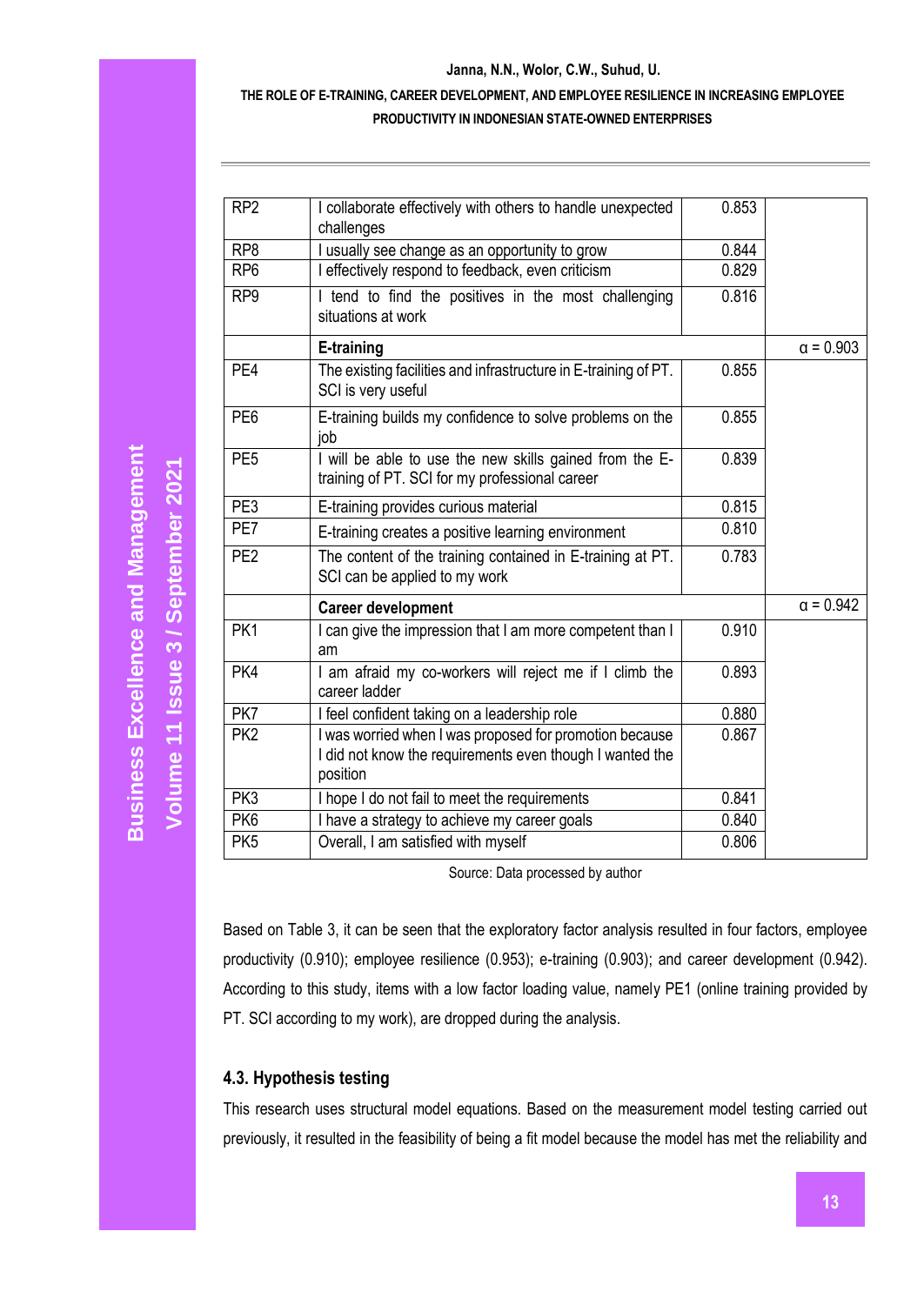### **THE ROLE OF E-TRAINING, CAREER DEVELOPMENT, AND EMPLOYEE RESILIENCE IN INCREASING EMPLOYEE PRODUCTIVITY IN INDONESIAN STATE-OWNED ENTERPRISES**

| I collaborate effectively with others to handle unexpected<br>0.853<br>RP <sub>2</sub><br>challenges<br>usually see change as an opportunity to grow<br>RP <sub>8</sub><br>0.844<br>I effectively respond to feedback, even criticism<br>0.829<br>RP <sub>6</sub><br>I tend to find the positives in the most challenging<br>0.816<br>RP <sub>9</sub><br>situations at work<br>E-training<br>PE4<br>The existing facilities and infrastructure in E-training of PT.<br>0.855<br>SCI is very useful<br>E-training builds my confidence to solve problems on the<br>PE <sub>6</sub><br>0.855<br>job<br>I will be able to use the new skills gained from the E-<br>PE <sub>5</sub><br>0.839<br>training of PT. SCI for my professional career<br>PE3<br>0.815<br>E-training provides curious material<br>PE7<br>0.810<br>E-training creates a positive learning environment<br>The content of the training contained in E-training at PT.<br>PE <sub>2</sub><br>0.783<br>SCI can be applied to my work<br><b>Career development</b><br>PK1<br>I can give the impression that I am more competent than I<br>0.910<br>am<br>PK4<br>I am afraid my co-workers will reject me if I climb the<br>0.893<br>career ladder<br>PK7<br>I feel confident taking on a leadership role<br>0.880<br>PK <sub>2</sub><br>I was worried when I was proposed for promotion because<br>0.867<br>I did not know the requirements even though I wanted the<br>position<br>I hope I do not fail to meet the requirements<br>PK3<br>0.841<br>PK <sub>6</sub><br>I have a strategy to achieve my career goals<br>0.840<br>Overall, I am satisfied with myself<br>0.806<br>PK <sub>5</sub> |  |                  |
|----------------------------------------------------------------------------------------------------------------------------------------------------------------------------------------------------------------------------------------------------------------------------------------------------------------------------------------------------------------------------------------------------------------------------------------------------------------------------------------------------------------------------------------------------------------------------------------------------------------------------------------------------------------------------------------------------------------------------------------------------------------------------------------------------------------------------------------------------------------------------------------------------------------------------------------------------------------------------------------------------------------------------------------------------------------------------------------------------------------------------------------------------------------------------------------------------------------------------------------------------------------------------------------------------------------------------------------------------------------------------------------------------------------------------------------------------------------------------------------------------------------------------------------------------------------------------------------------------------------------------------------------------------------|--|------------------|
|                                                                                                                                                                                                                                                                                                                                                                                                                                                                                                                                                                                                                                                                                                                                                                                                                                                                                                                                                                                                                                                                                                                                                                                                                                                                                                                                                                                                                                                                                                                                                                                                                                                                |  |                  |
|                                                                                                                                                                                                                                                                                                                                                                                                                                                                                                                                                                                                                                                                                                                                                                                                                                                                                                                                                                                                                                                                                                                                                                                                                                                                                                                                                                                                                                                                                                                                                                                                                                                                |  |                  |
|                                                                                                                                                                                                                                                                                                                                                                                                                                                                                                                                                                                                                                                                                                                                                                                                                                                                                                                                                                                                                                                                                                                                                                                                                                                                                                                                                                                                                                                                                                                                                                                                                                                                |  |                  |
|                                                                                                                                                                                                                                                                                                                                                                                                                                                                                                                                                                                                                                                                                                                                                                                                                                                                                                                                                                                                                                                                                                                                                                                                                                                                                                                                                                                                                                                                                                                                                                                                                                                                |  |                  |
|                                                                                                                                                                                                                                                                                                                                                                                                                                                                                                                                                                                                                                                                                                                                                                                                                                                                                                                                                                                                                                                                                                                                                                                                                                                                                                                                                                                                                                                                                                                                                                                                                                                                |  | $\alpha = 0.903$ |
|                                                                                                                                                                                                                                                                                                                                                                                                                                                                                                                                                                                                                                                                                                                                                                                                                                                                                                                                                                                                                                                                                                                                                                                                                                                                                                                                                                                                                                                                                                                                                                                                                                                                |  |                  |
|                                                                                                                                                                                                                                                                                                                                                                                                                                                                                                                                                                                                                                                                                                                                                                                                                                                                                                                                                                                                                                                                                                                                                                                                                                                                                                                                                                                                                                                                                                                                                                                                                                                                |  |                  |
|                                                                                                                                                                                                                                                                                                                                                                                                                                                                                                                                                                                                                                                                                                                                                                                                                                                                                                                                                                                                                                                                                                                                                                                                                                                                                                                                                                                                                                                                                                                                                                                                                                                                |  |                  |
|                                                                                                                                                                                                                                                                                                                                                                                                                                                                                                                                                                                                                                                                                                                                                                                                                                                                                                                                                                                                                                                                                                                                                                                                                                                                                                                                                                                                                                                                                                                                                                                                                                                                |  |                  |
|                                                                                                                                                                                                                                                                                                                                                                                                                                                                                                                                                                                                                                                                                                                                                                                                                                                                                                                                                                                                                                                                                                                                                                                                                                                                                                                                                                                                                                                                                                                                                                                                                                                                |  |                  |
|                                                                                                                                                                                                                                                                                                                                                                                                                                                                                                                                                                                                                                                                                                                                                                                                                                                                                                                                                                                                                                                                                                                                                                                                                                                                                                                                                                                                                                                                                                                                                                                                                                                                |  |                  |
|                                                                                                                                                                                                                                                                                                                                                                                                                                                                                                                                                                                                                                                                                                                                                                                                                                                                                                                                                                                                                                                                                                                                                                                                                                                                                                                                                                                                                                                                                                                                                                                                                                                                |  | $\alpha = 0.942$ |
|                                                                                                                                                                                                                                                                                                                                                                                                                                                                                                                                                                                                                                                                                                                                                                                                                                                                                                                                                                                                                                                                                                                                                                                                                                                                                                                                                                                                                                                                                                                                                                                                                                                                |  |                  |
|                                                                                                                                                                                                                                                                                                                                                                                                                                                                                                                                                                                                                                                                                                                                                                                                                                                                                                                                                                                                                                                                                                                                                                                                                                                                                                                                                                                                                                                                                                                                                                                                                                                                |  |                  |
|                                                                                                                                                                                                                                                                                                                                                                                                                                                                                                                                                                                                                                                                                                                                                                                                                                                                                                                                                                                                                                                                                                                                                                                                                                                                                                                                                                                                                                                                                                                                                                                                                                                                |  |                  |
|                                                                                                                                                                                                                                                                                                                                                                                                                                                                                                                                                                                                                                                                                                                                                                                                                                                                                                                                                                                                                                                                                                                                                                                                                                                                                                                                                                                                                                                                                                                                                                                                                                                                |  |                  |
|                                                                                                                                                                                                                                                                                                                                                                                                                                                                                                                                                                                                                                                                                                                                                                                                                                                                                                                                                                                                                                                                                                                                                                                                                                                                                                                                                                                                                                                                                                                                                                                                                                                                |  |                  |
|                                                                                                                                                                                                                                                                                                                                                                                                                                                                                                                                                                                                                                                                                                                                                                                                                                                                                                                                                                                                                                                                                                                                                                                                                                                                                                                                                                                                                                                                                                                                                                                                                                                                |  |                  |
|                                                                                                                                                                                                                                                                                                                                                                                                                                                                                                                                                                                                                                                                                                                                                                                                                                                                                                                                                                                                                                                                                                                                                                                                                                                                                                                                                                                                                                                                                                                                                                                                                                                                |  |                  |

Source: Data processed by author

Based on Table 3, it can be seen that the exploratory factor analysis resulted in four factors, employee productivity (0.910); employee resilience (0.953); e-training (0.903); and career development (0.942). According to this study, items with a low factor loading value, namely PE1 (online training provided by PT. SCI according to my work), are dropped during the analysis.

# **4.3. Hypothesis testing**

This research uses structural model equations. Based on the measurement model testing carried out previously, it resulted in the feasibility of being a fit model because the model has met the reliability and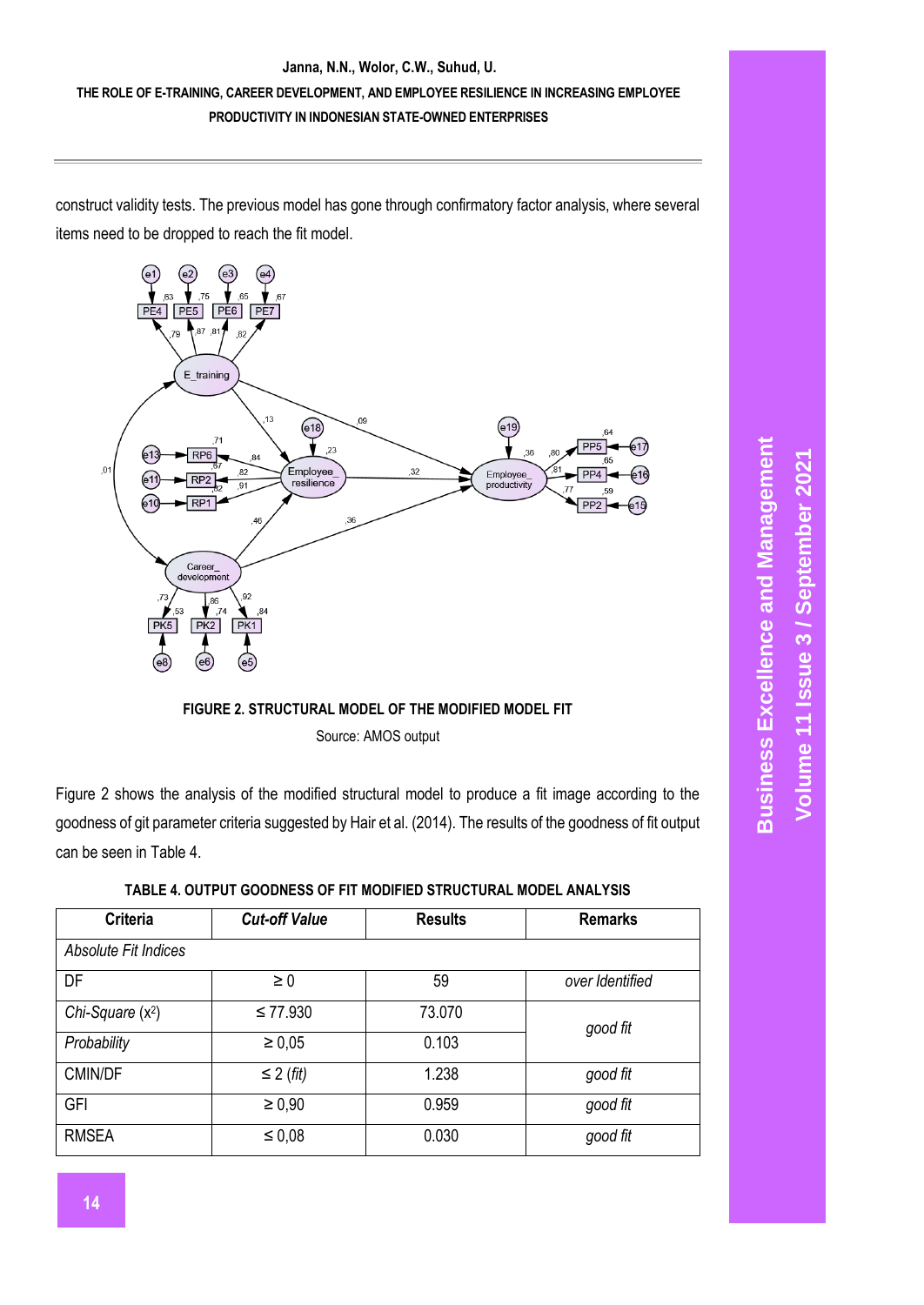## **THE ROLE OF E-TRAINING, CAREER DEVELOPMENT, AND EMPLOYEE RESILIENCE IN INCREASING EMPLOYEE PRODUCTIVITY IN INDONESIAN STATE-OWNED ENTERPRISES**

construct validity tests. The previous model has gone through confirmatory factor analysis, where several items need to be dropped to reach the fit model.





Figure 2 shows the analysis of the modified structural model to produce a fit image according to the goodness of git parameter criteria suggested by Hair et al. (2014). The results of the goodness of fit output can be seen in Table 4.

| <b>Criteria</b>      | <b>Cut-off Value</b> |        | <b>Remarks</b>  |
|----------------------|----------------------|--------|-----------------|
| Absolute Fit Indices |                      |        |                 |
| DF                   | $\geq 0$             | 59     | over Identified |
| Chi-Square $(x^2)$   | $\leq 77.930$        | 73.070 | good fit        |
| Probability          | $\geq 0.05$          | 0.103  |                 |
| CMIN/DF              | $\leq$ 2 (fit)       | 1.238  | good fit        |
| GFI                  | $\geq 0.90$          | 0.959  | good fit        |
| <b>RMSEA</b>         | $\leq 0.08$          | 0.030  | good fit        |

| TABLE 4. OUTPUT GOODNESS OF FIT MODIFIED STRUCTURAL MODEL ANALYSIS |  |  |  |
|--------------------------------------------------------------------|--|--|--|
|                                                                    |  |  |  |
|                                                                    |  |  |  |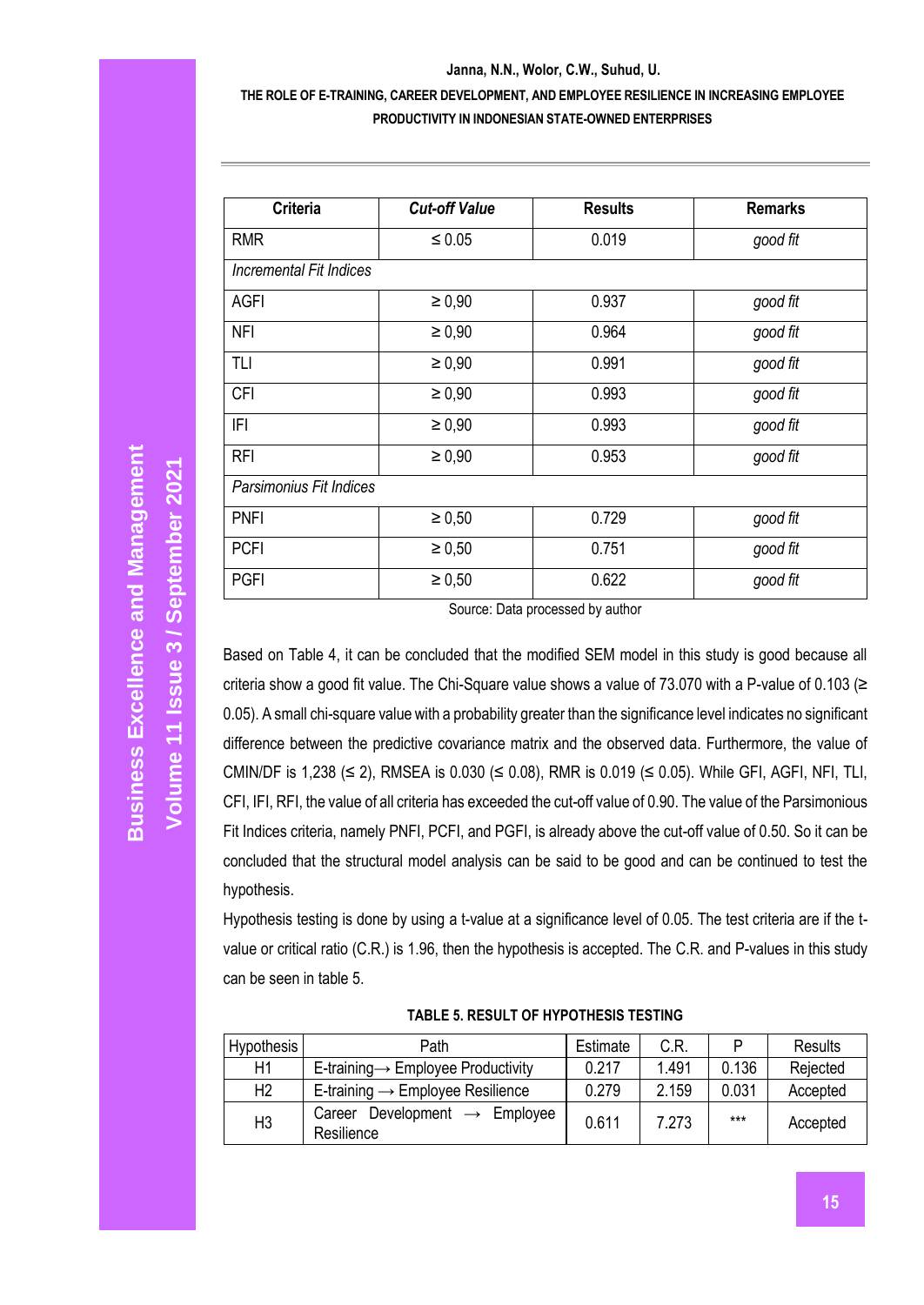### **THE ROLE OF E-TRAINING, CAREER DEVELOPMENT, AND EMPLOYEE RESILIENCE IN INCREASING EMPLOYEE PRODUCTIVITY IN INDONESIAN STATE-OWNED ENTERPRISES**

| <b>Criteria</b>         | <b>Cut-off Value</b> | <b>Results</b> | <b>Remarks</b> |
|-------------------------|----------------------|----------------|----------------|
| <b>RMR</b>              | $\leq 0.05$          | 0.019          | good fit       |
| Incremental Fit Indices |                      |                |                |
| AGFI                    | $\geq 0.90$          | 0.937          | good fit       |
| <b>NFI</b>              | $\geq 0.90$          | 0.964          | good fit       |
| TLI                     | $\ge 0,90$           | 0.991          | good fit       |
| <b>CFI</b>              | $\geq 0.90$          | 0.993          | good fit       |
| IFI                     | $\geq 0.90$          | 0.993          | good fit       |
| <b>RFI</b>              | $\geq 0.90$          | 0.953          | good fit       |
| Parsimonius Fit Indices |                      |                |                |
| <b>PNFI</b>             | $\ge 0,50$           | 0.729          | good fit       |
| <b>PCFI</b>             | $\ge 0,50$           | 0.751          | good fit       |
| <b>PGFI</b>             | $\ge 0,50$           | 0.622          | good fit       |

Source: Data processed by author

Based on Table 4, it can be concluded that the modified SEM model in this study is good because all criteria show a good fit value. The Chi-Square value shows a value of 73.070 with a P-value of 0.103 (≥ 0.05). A small chi-square value with a probability greater than the significance level indicates no significant difference between the predictive covariance matrix and the observed data. Furthermore, the value of CMIN/DF is 1,238 (≤ 2), RMSEA is 0.030 (≤ 0.08), RMR is 0.019 (≤ 0.05). While GFI, AGFI, NFI, TLI, CFI, IFI, RFI, the value of all criteria has exceeded the cut-off value of 0.90. The value of the Parsimonious Fit Indices criteria, namely PNFI, PCFI, and PGFI, is already above the cut-off value of 0.50. So it can be concluded that the structural model analysis can be said to be good and can be continued to test the hypothesis.

Hypothesis testing is done by using a t-value at a significance level of 0.05. The test criteria are if the tvalue or critical ratio (C.R.) is 1.96, then the hypothesis is accepted. The C.R. and P-values in this study can be seen in table 5.

| Hypothesis     | Path                                                       | Estimate | C.R.  | D     | <b>Results</b> |
|----------------|------------------------------------------------------------|----------|-------|-------|----------------|
| H1             | E-training $\rightarrow$ Employee Productivity             | 0.217    | 1.491 | 0.136 | Rejected       |
| H <sub>2</sub> | E-training $\rightarrow$ Employee Resilience               | 0.279    | 2.159 | 0.031 | Accepted       |
| H <sub>3</sub> | Development $\rightarrow$ Employee<br>Career<br>Resilience | 0.611    | 7.273 | ***   | Accepted       |

**TABLE 5. RESULT OF HYPOTHESIS TESTING**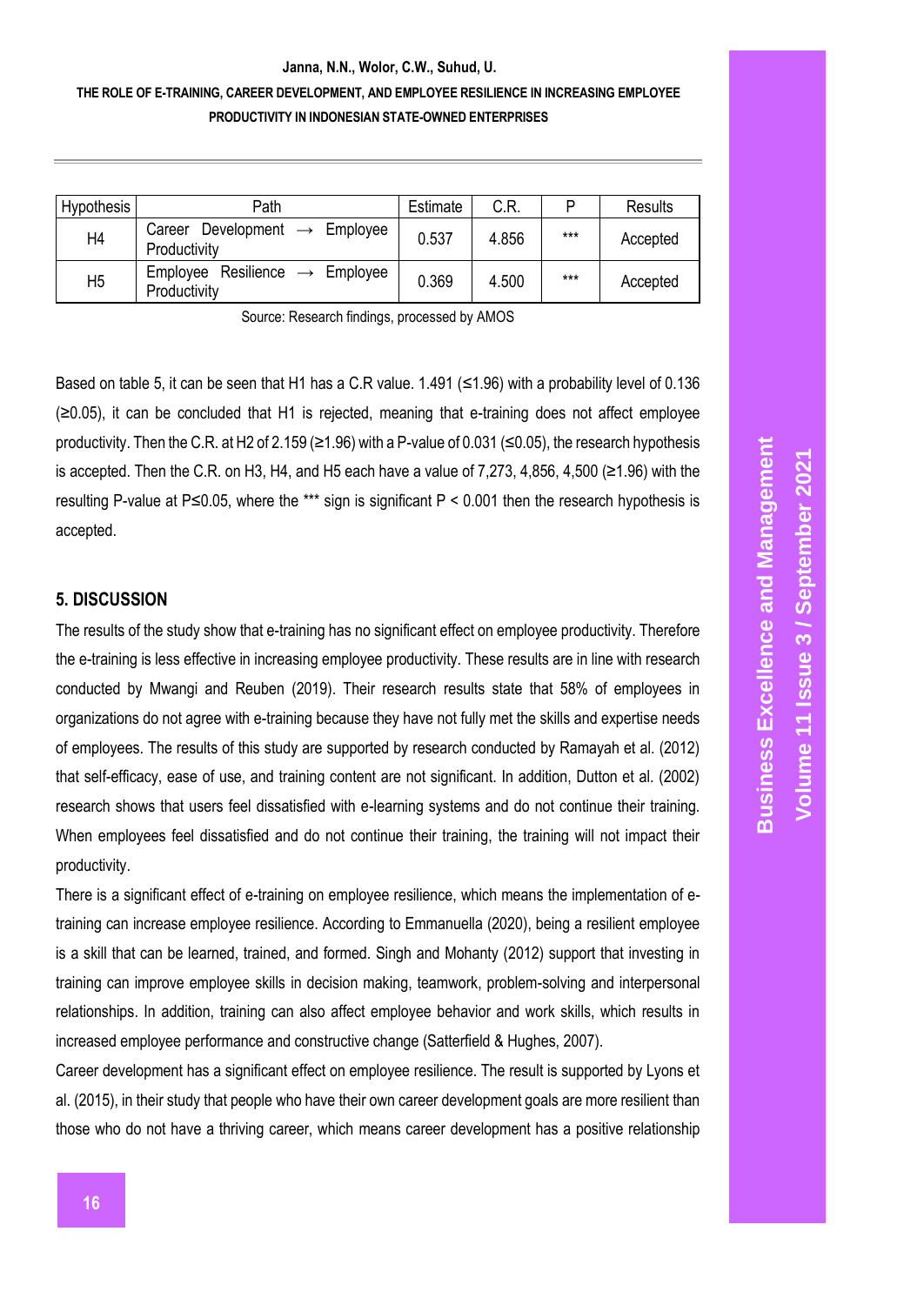### **THE ROLE OF E-TRAINING, CAREER DEVELOPMENT, AND EMPLOYEE RESILIENCE IN INCREASING EMPLOYEE PRODUCTIVITY IN INDONESIAN STATE-OWNED ENTERPRISES**

| Hypothesis     | Path                                                         | Estimate | C.R.  | P   | Results  |
|----------------|--------------------------------------------------------------|----------|-------|-----|----------|
| Η4             | Development $\rightarrow$ Employee<br>Career<br>Productivity | 0.537    | 4.856 | *** | Accepted |
| H <sub>5</sub> | Employee Resilience $\rightarrow$ Employee<br>Productivity   | 0.369    | 4.500 | *** | Accepted |

Source: Research findings, processed by AMOS

Based on table 5, it can be seen that H1 has a C.R value. 1.491 (≤1.96) with a probability level of 0.136 (≥0.05), it can be concluded that H1 is rejected, meaning that e-training does not affect employee productivity. Then the C.R. at H2 of 2.159 (≥1.96) with a P-value of 0.031 (≤0.05), the research hypothesis is accepted. Then the C.R. on H3, H4, and H5 each have a value of 7,273, 4,856, 4,500 (≥1.96) with the resulting P-value at P≤0.05, where the \*\*\* sign is significant P < 0.001 then the research hypothesis is accepted.

#### **5. DISCUSSION**

The results of the study show that e-training has no significant effect on employee productivity. Therefore the e-training is less effective in increasing employee productivity. These results are in line with research conducted by Mwangi and Reuben (2019). Their research results state that 58% of employees in organizations do not agree with e-training because they have not fully met the skills and expertise needs of employees. The results of this study are supported by research conducted by Ramayah et al. (2012) that self-efficacy, ease of use, and training content are not significant. In addition, Dutton et al. (2002) research shows that users feel dissatisfied with e-learning systems and do not continue their training. When employees feel dissatisfied and do not continue their training, the training will not impact their productivity.

There is a significant effect of e-training on employee resilience, which means the implementation of etraining can increase employee resilience. According to Emmanuella (2020), being a resilient employee is a skill that can be learned, trained, and formed. Singh and Mohanty (2012) support that investing in training can improve employee skills in decision making, teamwork, problem-solving and interpersonal relationships. In addition, training can also affect employee behavior and work skills, which results in increased employee performance and constructive change (Satterfield & Hughes, 2007).

Career development has a significant effect on employee resilience. The result is supported by Lyons et al. (2015), in their study that people who have their own career development goals are more resilient than those who do not have a thriving career, which means career development has a positive relationship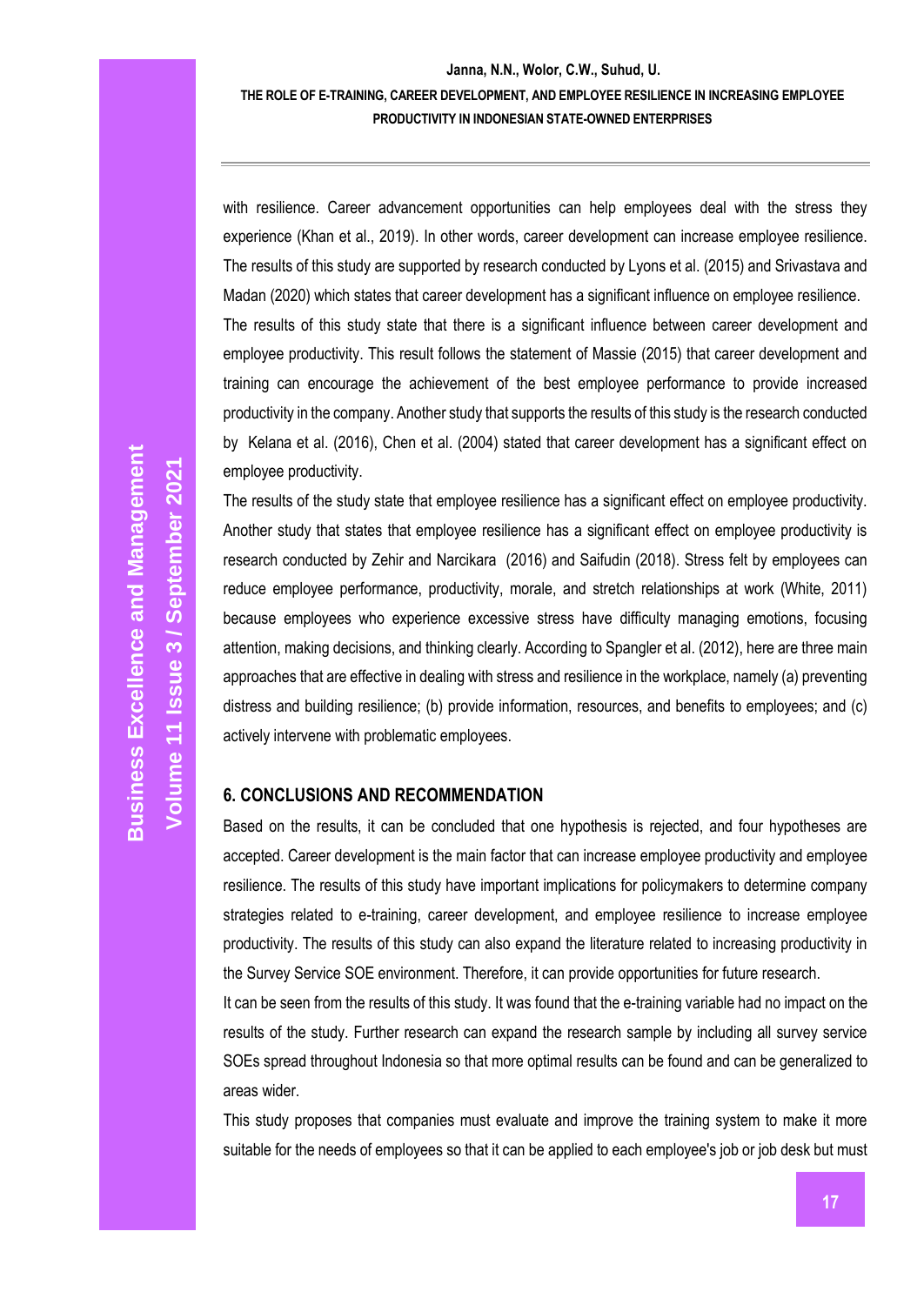### **Janna, N.N., Wolor, C.W., Suhud, U. THE ROLE OF E-TRAINING, CAREER DEVELOPMENT, AND EMPLOYEE RESILIENCE IN INCREASING EMPLOYEE PRODUCTIVITY IN INDONESIAN STATE-OWNED ENTERPRISES**

with resilience. Career advancement opportunities can help employees deal with the stress they experience (Khan et al., 2019). In other words, career development can increase employee resilience. The results of this study are supported by research conducted by Lyons et al. (2015) and Srivastava and Madan (2020) which states that career development has a significant influence on employee resilience. The results of this study state that there is a significant influence between career development and employee productivity. This result follows the statement of Massie (2015) that career development and training can encourage the achievement of the best employee performance to provide increased productivity in the company. Another study that supports the results of this study is the research conducted by Kelana et al. (2016), Chen et al. (2004) stated that career development has a significant effect on employee productivity.

The results of the study state that employee resilience has a significant effect on employee productivity. Another study that states that employee resilience has a significant effect on employee productivity is research conducted by Zehir and Narcikara (2016) and Saifudin (2018). Stress felt by employees can reduce employee performance, productivity, morale, and stretch relationships at work (White, 2011) because employees who experience excessive stress have difficulty managing emotions, focusing attention, making decisions, and thinking clearly. According to Spangler et al. (2012), here are three main approaches that are effective in dealing with stress and resilience in the workplace, namely (a) preventing distress and building resilience; (b) provide information, resources, and benefits to employees; and (c) actively intervene with problematic employees.

## **6. CONCLUSIONS AND RECOMMENDATION**

Based on the results, it can be concluded that one hypothesis is rejected, and four hypotheses are accepted. Career development is the main factor that can increase employee productivity and employee resilience. The results of this study have important implications for policymakers to determine company strategies related to e-training, career development, and employee resilience to increase employee productivity. The results of this study can also expand the literature related to increasing productivity in the Survey Service SOE environment. Therefore, it can provide opportunities for future research.

It can be seen from the results of this study. It was found that the e-training variable had no impact on the results of the study. Further research can expand the research sample by including all survey service SOEs spread throughout Indonesia so that more optimal results can be found and can be generalized to areas wider.

This study proposes that companies must evaluate and improve the training system to make it more suitable for the needs of employees so that it can be applied to each employee's job or job desk but must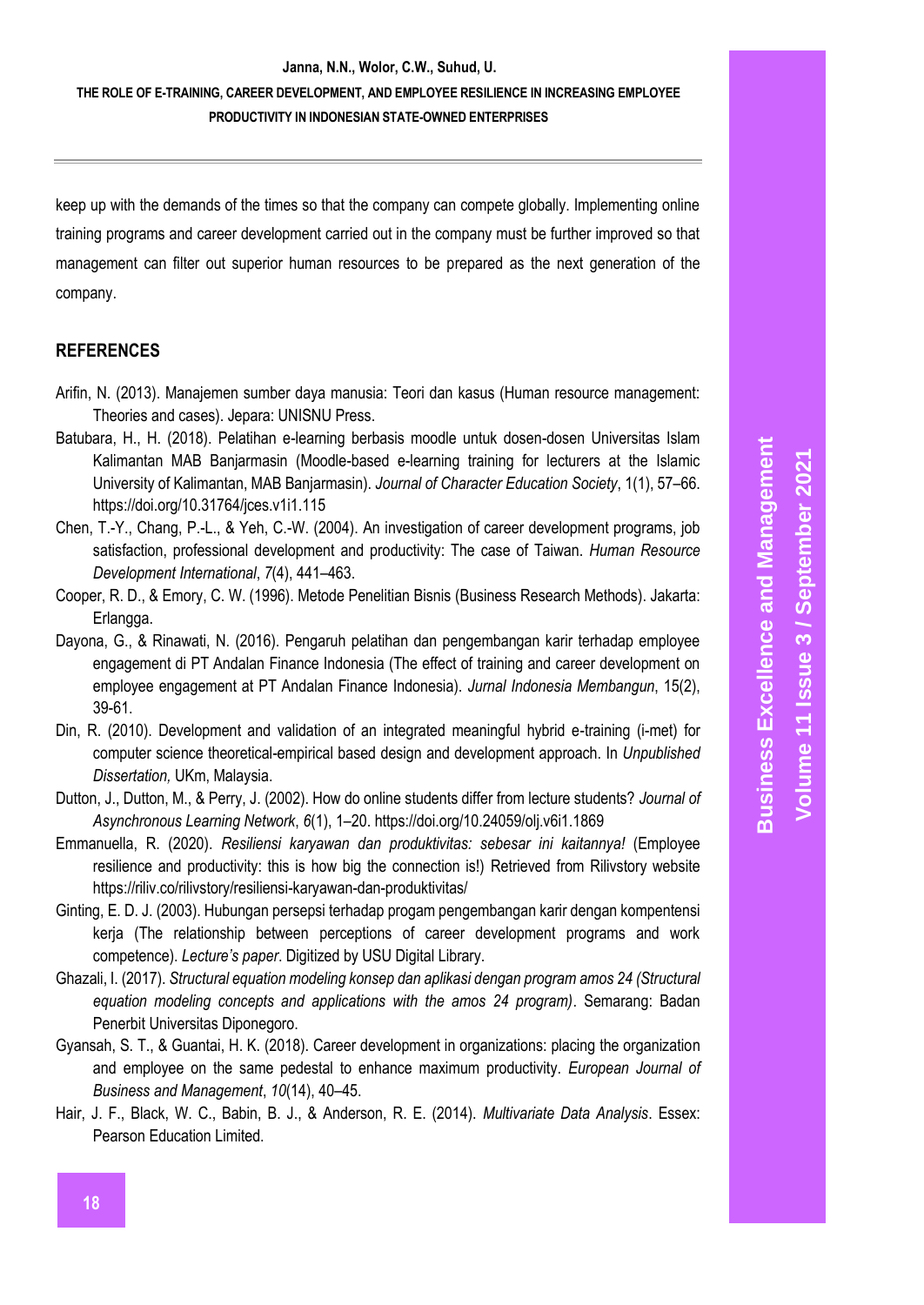### **THE ROLE OF E-TRAINING, CAREER DEVELOPMENT, AND EMPLOYEE RESILIENCE IN INCREASING EMPLOYEE PRODUCTIVITY IN INDONESIAN STATE-OWNED ENTERPRISES**

keep up with the demands of the times so that the company can compete globally. Implementing online training programs and career development carried out in the company must be further improved so that management can filter out superior human resources to be prepared as the next generation of the company.

### **REFERENCES**

- Arifin, N. (2013). Manajemen sumber daya manusia: Teori dan kasus (Human resource management: Theories and cases). Jepara: UNISNU Press.
- Batubara, H., H. (2018). Pelatihan e-learning berbasis moodle untuk dosen-dosen Universitas Islam Kalimantan MAB Banjarmasin (Moodle-based e-learning training for lecturers at the Islamic University of Kalimantan, MAB Banjarmasin). *Journal of Character Education Society*, 1(1), 57–66. <https://doi.org/10.31764/jces.v1i1.115>
- Chen, T.-Y., Chang, P.-L., & Yeh, C.-W. (2004). An investigation of career development programs, job satisfaction, professional development and productivity: The case of Taiwan. *Human Resource Development International*, *7*(4), 441–463.
- Cooper, R. D., & Emory, C. W. (1996). Metode Penelitian Bisnis (Business Research Methods). Jakarta: Erlangga.
- Dayona, G., & Rinawati, N. (2016). Pengaruh pelatihan dan pengembangan karir terhadap employee engagement di PT Andalan Finance Indonesia (The effect of training and career development on employee engagement at PT Andalan Finance Indonesia). *Jurnal Indonesia Membangun*, 15(2), 39-61.
- Din, R. (2010). Development and validation of an integrated meaningful hybrid e-training (i-met) for computer science theoretical-empirical based design and development approach. In *Unpublished Dissertation,* UKm, Malaysia.
- Dutton, J., Dutton, M., & Perry, J. (2002). How do online students differ from lecture students? *Journal of Asynchronous Learning Network*, *6*(1), 1–20. https://doi.org/10.24059/olj.v6i1.1869
- Emmanuella, R. (2020). *Resiliensi karyawan dan produktivitas: sebesar ini kaitannya!* (Employee resilience and productivity: this is how big the connection is!) Retrieved from Rilivstory website https://riliv.co/rilivstory/resiliensi-karyawan-dan-produktivitas/
- Ginting, E. D. J. (2003). Hubungan persepsi terhadap progam pengembangan karir dengan kompentensi kerja (The relationship between perceptions of career development programs and work competence). *Lecture's paper*. Digitized by USU Digital Library.
- Ghazali, I. (2017). *Structural equation modeling konsep dan aplikasi dengan program amos 24 (Structural equation modeling concepts and applications with the amos 24 program)*. Semarang: Badan Penerbit Universitas Diponegoro.
- Gyansah, S. T., & Guantai, H. K. (2018). Career development in organizations: placing the organization and employee on the same pedestal to enhance maximum productivity. *European Journal of Business and Management*, *10*(14), 40–45.
- Hair, J. F., Black, W. C., Babin, B. J., & Anderson, R. E. (2014). *Multivariate Data Analysis*. Essex: Pearson Education Limited.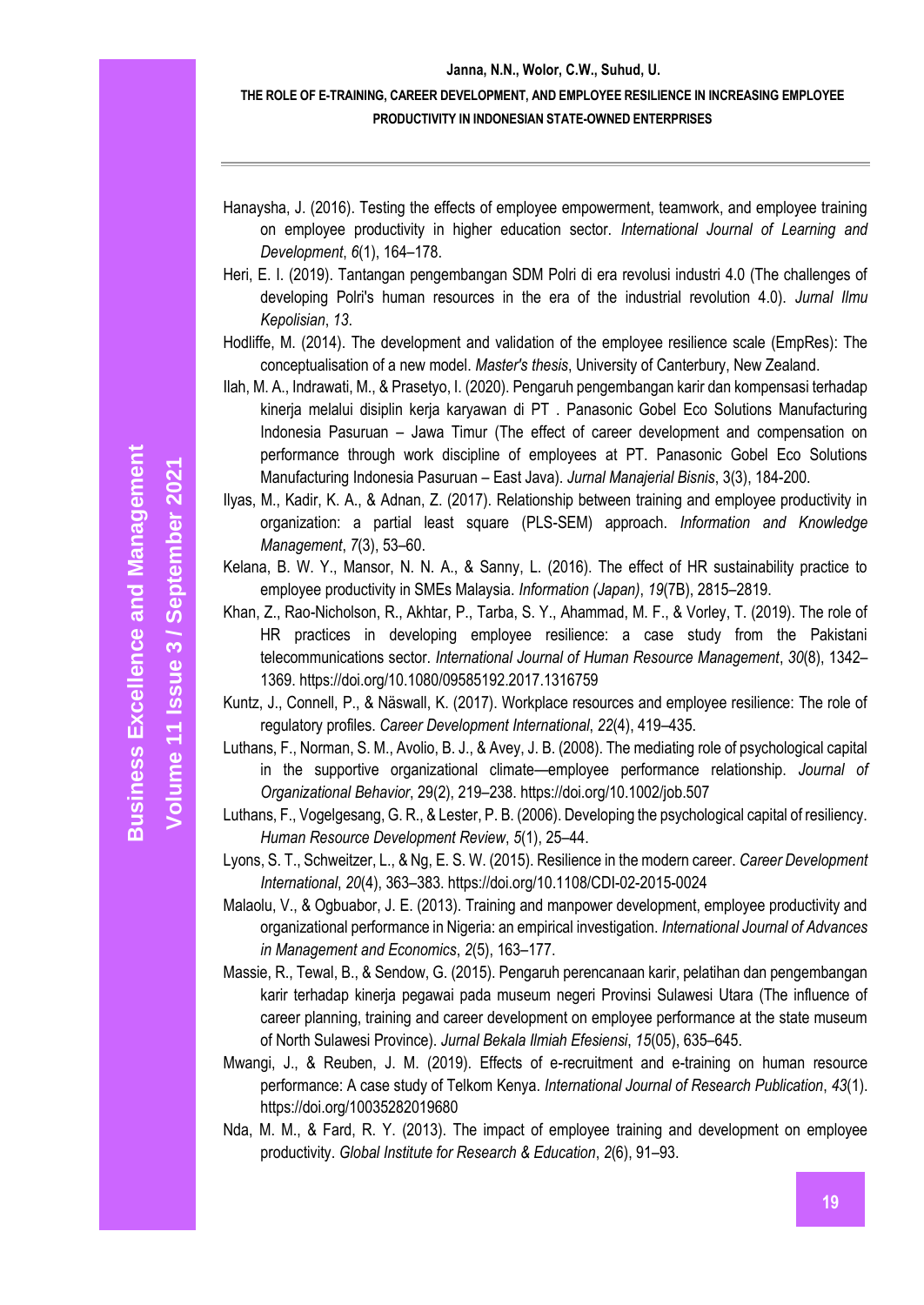### **THE ROLE OF E-TRAINING, CAREER DEVELOPMENT, AND EMPLOYEE RESILIENCE IN INCREASING EMPLOYEE PRODUCTIVITY IN INDONESIAN STATE-OWNED ENTERPRISES**

- Hanaysha, J. (2016). Testing the effects of employee empowerment, teamwork, and employee training on employee productivity in higher education sector. *International Journal of Learning and Development*, *6*(1), 164–178.
- Heri, E. I. (2019). Tantangan pengembangan SDM Polri di era revolusi industri 4.0 (The challenges of developing Polri's human resources in the era of the industrial revolution 4.0). *Jurnal Ilmu Kepolisian*, *13*.
- Hodliffe, M. (2014). The development and validation of the employee resilience scale (EmpRes): The conceptualisation of a new model. *Master's thesis*, University of Canterbury, New Zealand.
- Ilah, M. A., Indrawati, M., & Prasetyo, I. (2020). Pengaruh pengembangan karir dan kompensasi terhadap kinerja melalui disiplin kerja karyawan di PT . Panasonic Gobel Eco Solutions Manufacturing Indonesia Pasuruan – Jawa Timur (The effect of career development and compensation on performance through work discipline of employees at PT. Panasonic Gobel Eco Solutions Manufacturing Indonesia Pasuruan – East Java). *Jurnal Manajerial Bisnis*, 3(3), 184-200.
- Ilyas, M., Kadir, K. A., & Adnan, Z. (2017). Relationship between training and employee productivity in organization: a partial least square (PLS-SEM) approach. *Information and Knowledge Management*, *7*(3), 53–60.
- Kelana, B. W. Y., Mansor, N. N. A., & Sanny, L. (2016). The effect of HR sustainability practice to employee productivity in SMEs Malaysia. *Information (Japan)*, *19*(7B), 2815–2819.
- Khan, Z., Rao-Nicholson, R., Akhtar, P., Tarba, S. Y., Ahammad, M. F., & Vorley, T. (2019). The role of HR practices in developing employee resilience: a case study from the Pakistani telecommunications sector. *International Journal of Human Resource Management*, *30*(8), 1342– 1369. https://doi.org/10.1080/09585192.2017.1316759
- Kuntz, J., Connell, P., & Näswall, K. (2017). Workplace resources and employee resilience: The role of regulatory profiles. *Career Development International*, *22*(4), 419–435.
- Luthans, F., Norman, S. M., Avolio, B. J., & Avey, J. B. (2008). The mediating role of psychological capital in the supportive organizational climate—employee performance relationship. *Journal of Organizational Behavior*, 29(2), 219–238[. https://doi.org/10.1002/job.507](https://doi.org/10.1002/job.507)
- Luthans, F., Vogelgesang, G. R., & Lester, P. B. (2006). Developing the psychological capital of resiliency. *Human Resource Development Review*, *5*(1), 25–44.
- Lyons, S. T., Schweitzer, L., & Ng, E. S. W. (2015). Resilience in the modern career. *Career Development International*, *20*(4), 363–383. https://doi.org/10.1108/CDI-02-2015-0024
- Malaolu, V., & Ogbuabor, J. E. (2013). Training and manpower development, employee productivity and organizational performance in Nigeria: an empirical investigation. *International Journal of Advances in Management and Economics*, *2*(5), 163–177.
- Massie, R., Tewal, B., & Sendow, G. (2015). Pengaruh perencanaan karir, pelatihan dan pengembangan karir terhadap kinerja pegawai pada museum negeri Provinsi Sulawesi Utara (The influence of career planning, training and career development on employee performance at the state museum of North Sulawesi Province). *Jurnal Bekala Ilmiah Efesiensi*, *15*(05), 635–645.
- Mwangi, J., & Reuben, J. M. (2019). Effects of e-recruitment and e-training on human resource performance: A case study of Telkom Kenya. *International Journal of Research Publication*, *43*(1). https://doi.org/10035282019680
- Nda, M. M., & Fard, R. Y. (2013). The impact of employee training and development on employee productivity. *Global Institute for Research & Education*, *2*(6), 91–93.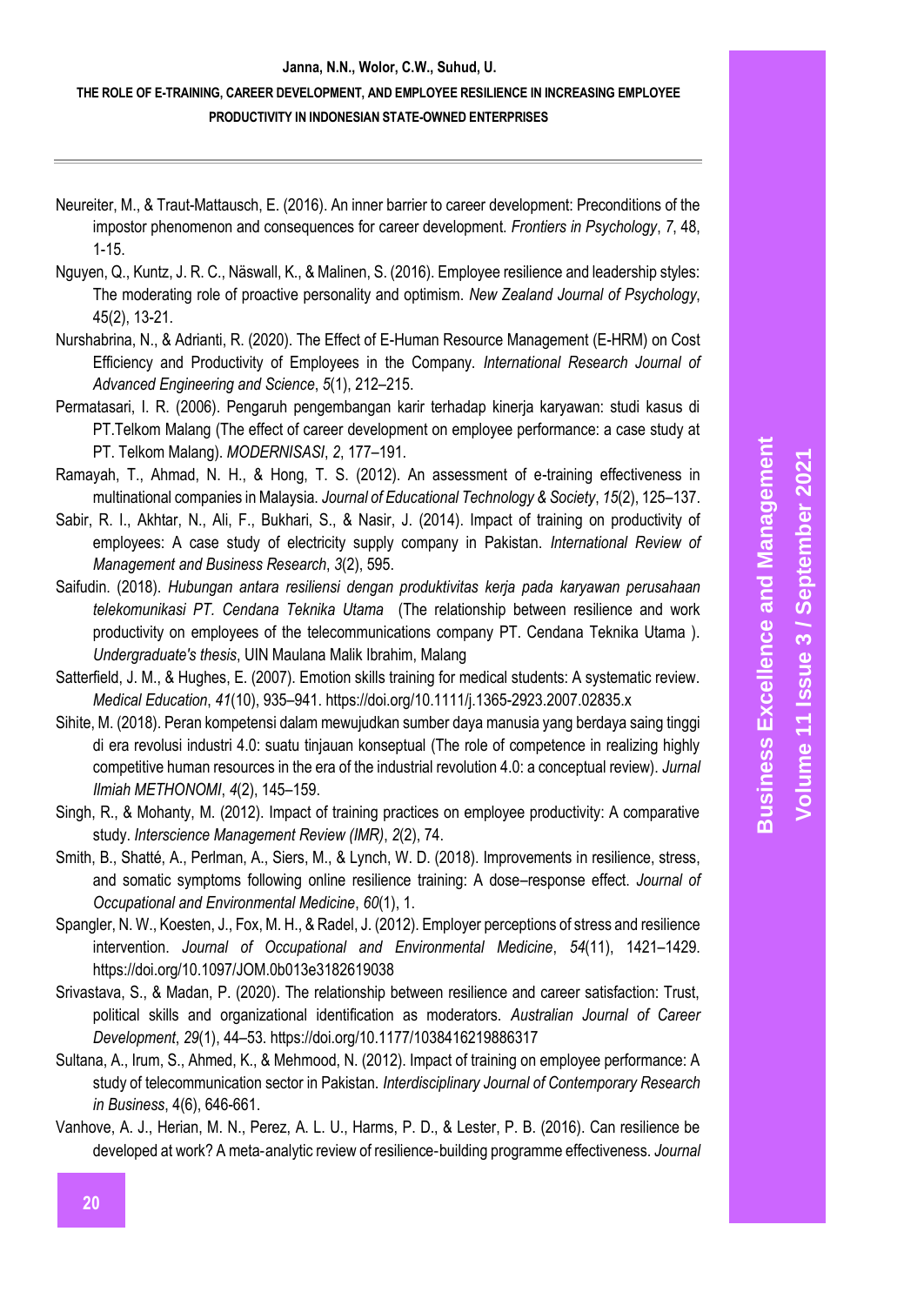## **THE ROLE OF E-TRAINING, CAREER DEVELOPMENT, AND EMPLOYEE RESILIENCE IN INCREASING EMPLOYEE PRODUCTIVITY IN INDONESIAN STATE-OWNED ENTERPRISES**

- Neureiter, M., & Traut-Mattausch, E. (2016). An inner barrier to career development: Preconditions of the impostor phenomenon and consequences for career development. *Frontiers in Psychology*, *7*, 48, 1-15.
- Nguyen, Q., Kuntz, J. R. C., Näswall, K., & Malinen, S. (2016). Employee resilience and leadership styles: The moderating role of proactive personality and optimism. *New Zealand Journal of Psychology*, 45(2), 13-21.
- Nurshabrina, N., & Adrianti, R. (2020). The Effect of E-Human Resource Management (E-HRM) on Cost Efficiency and Productivity of Employees in the Company. *International Research Journal of Advanced Engineering and Science*, *5*(1), 212–215.
- Permatasari, I. R. (2006). Pengaruh pengembangan karir terhadap kinerja karyawan: studi kasus di PT.Telkom Malang (The effect of career development on employee performance: a case study at PT. Telkom Malang). *MODERNISASI*, *2*, 177–191.
- Ramayah, T., Ahmad, N. H., & Hong, T. S. (2012). An assessment of e-training effectiveness in multinational companies in Malaysia. *Journal of Educational Technology & Society*, *15*(2), 125–137.
- Sabir, R. I., Akhtar, N., Ali, F., Bukhari, S., & Nasir, J. (2014). Impact of training on productivity of employees: A case study of electricity supply company in Pakistan. *International Review of Management and Business Research*, *3*(2), 595.
- Saifudin. (2018). *Hubungan antara resiliensi dengan produktivitas kerja pada karyawan perusahaan telekomunikasi PT. Cendana Teknika Utama* (The relationship between resilience and work productivity on employees of the telecommunications company PT. Cendana Teknika Utama ). *Undergraduate's thesis*, UIN Maulana Malik Ibrahim, Malang
- Satterfield, J. M., & Hughes, E. (2007). Emotion skills training for medical students: A systematic review. *Medical Education*, *41*(10), 935–941. https://doi.org/10.1111/j.1365-2923.2007.02835.x
- Sihite, M. (2018). Peran kompetensi dalam mewujudkan sumber daya manusia yang berdaya saing tinggi di era revolusi industri 4.0: suatu tinjauan konseptual (The role of competence in realizing highly competitive human resources in the era of the industrial revolution 4.0: a conceptual review). *Jurnal Ilmiah METHONOMI*, *4*(2), 145–159.
- Singh, R., & Mohanty, M. (2012). Impact of training practices on employee productivity: A comparative study. *Interscience Management Review (IMR)*, *2*(2), 74.
- Smith, B., Shatté, A., Perlman, A., Siers, M., & Lynch, W. D. (2018). Improvements in resilience, stress, and somatic symptoms following online resilience training: A dose–response effect. *Journal of Occupational and Environmental Medicine*, *60*(1), 1.
- Spangler, N. W., Koesten, J., Fox, M. H., & Radel, J. (2012). Employer perceptions of stress and resilience intervention. *Journal of Occupational and Environmental Medicine*, *54*(11), 1421–1429. https://doi.org/10.1097/JOM.0b013e3182619038
- Srivastava, S., & Madan, P. (2020). The relationship between resilience and career satisfaction: Trust, political skills and organizational identification as moderators. *Australian Journal of Career Development*, *29*(1), 44–53. https://doi.org/10.1177/1038416219886317
- Sultana, A., Irum, S., Ahmed, K., & Mehmood, N. (2012). Impact of training on employee performance: A study of telecommunication sector in Pakistan. *Interdisciplinary Journal of Contemporary Research in Business*, 4(6), 646-661.

Vanhove, A. J., Herian, M. N., Perez, A. L. U., Harms, P. D., & Lester, P. B. (2016). Can resilience be developed at work? A meta‐analytic review of resilience‐building programme effectiveness. *Journal*